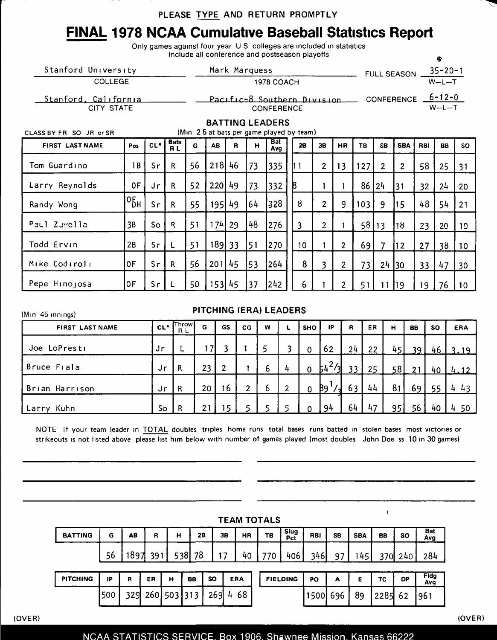## FiNAL 1978 NCAA Cumulative Baseball Statistics Report

Only games against four year U S colleges are included in statistics Include all conference and postseason playoffs 90 and  $\bullet$ 

| Stanford University<br>COLLEGE                                                                | Mark Marquess<br>1978 COACH |       |                          |    |                 |              |              |                                                  |   | $35 - 20 - 1$<br><b>FULL SEASON</b><br>$W-L-T$ |                         |                |           |                |                   |                         |           |           |  |  |  |
|-----------------------------------------------------------------------------------------------|-----------------------------|-------|--------------------------|----|-----------------|--------------|--------------|--------------------------------------------------|---|------------------------------------------------|-------------------------|----------------|-----------|----------------|-------------------|-------------------------|-----------|-----------|--|--|--|
| Stanford, California<br><b>CITY STATE</b>                                                     |                             |       |                          |    |                 |              |              | Pacific-8 Southern Division<br><b>CONFERENCE</b> |   |                                                |                         |                |           |                | <b>CONFERENCE</b> | $6 - 12 - 0$<br>$W-L-T$ |           |           |  |  |  |
| <b>BATTING LEADERS</b><br>(Min 25 at bats per game played by team)<br>CLASS BY FR SO JR or SR |                             |       |                          |    |                 |              |              |                                                  |   |                                                |                         |                |           |                |                   |                         |           |           |  |  |  |
| <b>FIRST LAST NAME</b>                                                                        | Pos                         | $CL*$ | <b>Bats</b><br><b>RL</b> | G  | <b>AB</b>       | $\mathbf{R}$ | $\mathbf{H}$ | <b>Bat</b><br>Avg                                |   | 28                                             | 3B                      | HR             | <b>TB</b> | <b>SB</b>      | <b>SBA</b>        | <b>RBI</b>              | <b>BB</b> | <b>SO</b> |  |  |  |
| Tom Guardino                                                                                  | 1B                          | Sr    | R.                       | 56 | 218             | 46           | 73           | 335                                              |   | 11                                             | $\overline{2}$          | 13             | 127       | $\overline{2}$ | $\overline{2}$    | 58                      | 25        | 31        |  |  |  |
| Larry Reynolds                                                                                | 0F                          | Jr    | R.                       | 52 | 220149          |              | 73           | 332                                              | 8 |                                                |                         |                | 86        | $ 24\rangle$   | 31                | 32                      | 24        | 20        |  |  |  |
| Randy Wong                                                                                    | ∘Бн                         | Sr    | $\mathsf{R}$             | 55 | 195             | 49           | 64           | 328                                              |   | 8                                              | $\overline{2}$          | 9              | 103       | 9              | 15                | 48                      | 54        | 21        |  |  |  |
| Paul Zuvella                                                                                  | 3B                          | So    | R                        | 51 | 17 <sup>L</sup> | 29           | 48           | 276                                              |   | 3                                              | $\overline{2}$          |                | 58 13     |                | 18                | 23                      | 20        | 10        |  |  |  |
| Todd Ervin                                                                                    | 2B                          | Sr    | L                        | 51 | 189 33          |              | 51           | 270                                              |   | 10                                             |                         | 2 <sup>1</sup> | 69        | 7              | $\sqrt{12}$       | 27                      | 38        | 10        |  |  |  |
| Mike Codiroli                                                                                 | 0F                          | Sr    | $\mathsf{R}$             | 56 | 201             | 45           | 53           | 264                                              |   | 8                                              | $\overline{\mathbf{3}}$ | 2 <sup>1</sup> | 73        | 24 30          |                   | 33                      | 47        | 30        |  |  |  |
| Pepe Hinojosa                                                                                 | 0F                          | Sr    | L                        | 50 | 153 45          |              | 37           | 242                                              |   | 6                                              |                         | 2 <sup>1</sup> | 51        | 11             | 19                | 19                      | 76        | 10        |  |  |  |

## (Min 45 innings) **FIRST LAST NAME** Joe LoPresti Bruce Fiala Brian Harrison Larry Kuhn CL\* Jr J r Jr So PITCHING (ERA) LEADERS **Throw** R L L R R R G 17 23 20 21 GS 3 2 16 15 CG 1 1 2 5 w 5 6 6 5 L 3  $\frac{1}{2}$ 2 5 SHO 0 0 0  $\Omega$ IP 62  $54^2/3$  $89^{1}$ 94 R 24 33 63 64 ER 22 25 44 47 H 45 58 81 95 BB 39 21 69 56 so 46 40 55 40 ERA 3.19 4.12 4 43 4 50

NOTE If your team leader in TOTAL doubles triples home runs total bases runs batted in stolen bases most victories or strikeouts is not listed above please list him below with number of games played (most doubles John Doe ss 10 in 30 games)

| <b>TEAM TOTALS</b> |     |    |                 |   |           |           |                 |  |     |                 |          |           |            |         |           |                    |
|--------------------|-----|----|-----------------|---|-----------|-----------|-----------------|--|-----|-----------------|----------|-----------|------------|---------|-----------|--------------------|
| <b>BATTING</b>     | G   | AB | R               | н | <b>2B</b> |           | 38<br><b>HR</b> |  | TB  | Slug<br>Pct     | RBI      | <b>SB</b> | <b>SBA</b> | BB      | <b>SO</b> | Bat<br>Avg         |
|                    | 56  |    | 1897 391        |   | 538<br>78 |           | 17<br>40        |  | 770 | 406             | 346      | 97        | 145        |         | 370 240   | 284                |
| <b>PITCHING</b>    | IP  | R  | ER              | н | BB        | <b>SO</b> | <b>ERA</b>      |  |     | <b>FIELDING</b> | PO       | А         | Е          | TC      | <b>DP</b> | <b>Fldg</b><br>Avg |
|                    | 500 |    | 329 260 503 313 |   |           | 269       | 4 68            |  |     |                 | 1500 696 |           | 89         | 2285 62 |           | 961                |